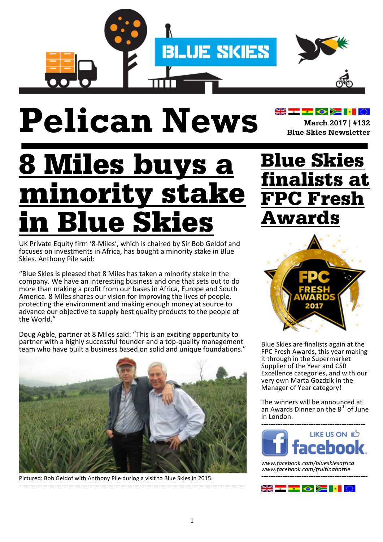

# **Pelican News March** 2017 | #132

8 Miles buys a minority stake **Blue Skies** 

UK Private Equity firm '8-Miles', which is chaired by Sir Bob Geldof and focuses on investments in Africa, has bought a minority stake in Blue Skies. Anthony Pile said:

"Blue Skies is pleased that 8 Miles has taken a minority stake in the company. We have an interesting business and one that sets out to do more than making a profit from our bases in Africa, Europe and South America. 8 Miles shares our vision for improving the lives of people, protecting the environment and making enough money at source to advance our objective to supply best quality products to the people of the World."

Doug Agble, partner at 8 Miles said: "This is an exciting opportunity to partner with a highly successful founder and a top-quality management team who have built a business based on solid and unique foundations."



Pictured: Bob Geldof with Anthony Pile during a visit to Blue Skies in 2015. ------------------------------------------------------------------------------------------------

### Blue Skies finalists at FPC Fresh Awards

**Blue Skies Newsletter**



Blue Skies are finalists again at the FPC Fresh Awards, this year making it through in the Supermarket Supplier of the Year and CSR Excellence categories, and with our very own Marta Gozdzik in the Manager of Year category!

The winners will be announced at an Awards Dinner on the 8<sup>th</sup> of June in London.



*www.facebook.com/blueskiesafrica www.facebook.com/fruitinabottle ---------------------------------------------*

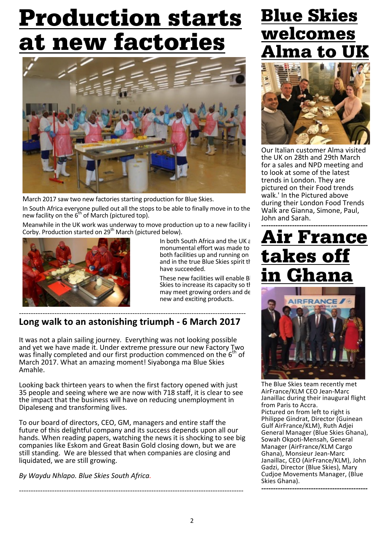### Production starts at new factories



March 2017 saw two new factories starting production for Blue Skies.

In South Africa everyone pulled out all the stops to be able to finally move in to the new facility on the  $6<sup>th</sup>$  of March (pictured top).

Meanwhile in the UK work was underway to move production up to a new facility i Corby. Production started on 29<sup>th</sup> March (pictured below).



In both South Africa and the UK a monumental effort was made to both facilities up and running on and in the true Blue Skies spirit the have succeeded.

These new facilities will enable B Skies to increase its capacity so the may meet growing orders and de new and exciting products.

#### ------------------------------------------------------------------------------------------------ Long walk to an astonishing triumph - 6 March 2017

It was not a plain sailing journey. Everything was not looking possible and yet we have made it. Under extreme pressure our new Factory Two was finally completed and our first production commenced on the  $6<sup>th</sup>$  of March 2017. What an amazing moment! Siyabonga ma Blue Skies Amahle.

Looking back thirteen years to when the first factory opened with just 35 people and seeing where we are now with 718 staff, it is clear to see the impact that the business will have on reducing unemployment in Dipaleseng and transforming lives.

To our board of directors, CEO, GM, managers and entire staff the future of this delightful company and its success depends upon all our hands. When reading papers, watching the news it is shocking to see big companies like Eskom and Great Basin Gold closing down, but we are still standing. We are blessed that when companies are closing and liquidated, we are still growing.

-----------------------------------------------------------------------------------------------

*By Waydu Nhlapo. Blue Skies South Africa.*

### Blue Skies welcomes na to



Our Italian customer Alma visited the UK on 28th and 29th March for a sales and NPD meeting and to look at some of the latest trends in London. They are pictured on their Food trends walk.' In the Pictured above during their London Food Trends Walk are Gianna, Simone, Paul, John and Sarah.

### Air France takes of <u>in Ghana</u>



The Blue Skies team recently met AirFrance/KLM CEO Jean-Marc Janaillac during their inaugural flight from Paris to Accra. Pictured on from left to right is Philippe Gindrat, Director (Guinean Gulf AirFrance/KLM), Ruth Adjei General Manager (Blue Skies Ghana), Sowah Okpoti-Mensah, General Manager (AirFrance/KLM Cargo Ghana), Monsieur Jean-Marc Janaillac, CEO (AirFrance/KLM), John Gadzi, Director (Blue Skies), Mary Cudjoe Movements Manager, (Blue Skies Ghana). *---------------------------------------------*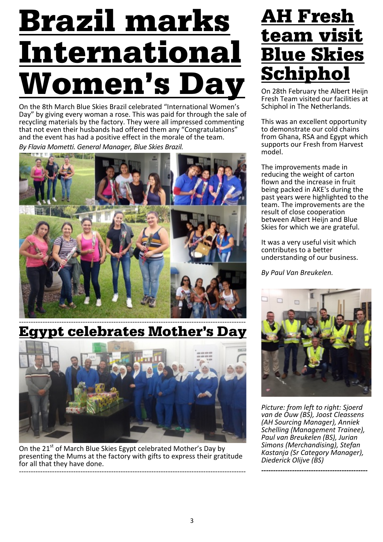# Brazil marks International Women's D

On the 8th March Blue Skies Brazil celebrated "International Women's Day" by giving every woman a rose. This was paid for through the sale of recycling materials by the factory. They were all impressed commenting that not even their husbands had offered them any "Congratulations" and the event has had a positive effect in the morale of the team.

By Flavia Mometti. General Manager, Blue Skies Brazil.



------------------------------------------------------------------------------------------------ Egypt celebrates Mother's Day



On the 21<sup>st</sup> of March Blue Skies Egypt celebrated Mother's Day by presenting the Mums at the factory with gifts to express their gratitude for all that they have done. ------------------------------------------------------------------------------------------------

### AH Fresh team visit Blue Skies Schiphol

On 28th February the Albert Heijn Fresh Team visited our facilities at Schiphol in The Netherlands.

This was an excellent opportunity to demonstrate our cold chains from Ghana, RSA and Egypt which supports our Fresh from Harvest model. 

The improvements made in reducing the weight of carton flown and the increase in fruit being packed in AKE's during the past years were highlighted to the team. The improvements are the result of close cooperation between Albert Heijn and Blue Skies for which we are grateful.

It was a very useful visit which contributes to a better understanding of our business.

*By Paul Van Breukelen.*



*Picture: from left to right: Sjoerd van de Ouw (BS), Joost Cleassens (AH Sourcing Manager), Anniek Schelling (Management Trainee), Paul van Breukelen (BS), Jurian Simons (Merchandising), Stefan Kastanja (Sr Category Manager), Diederick Olijve (BS)*

*---------------------------------------------*